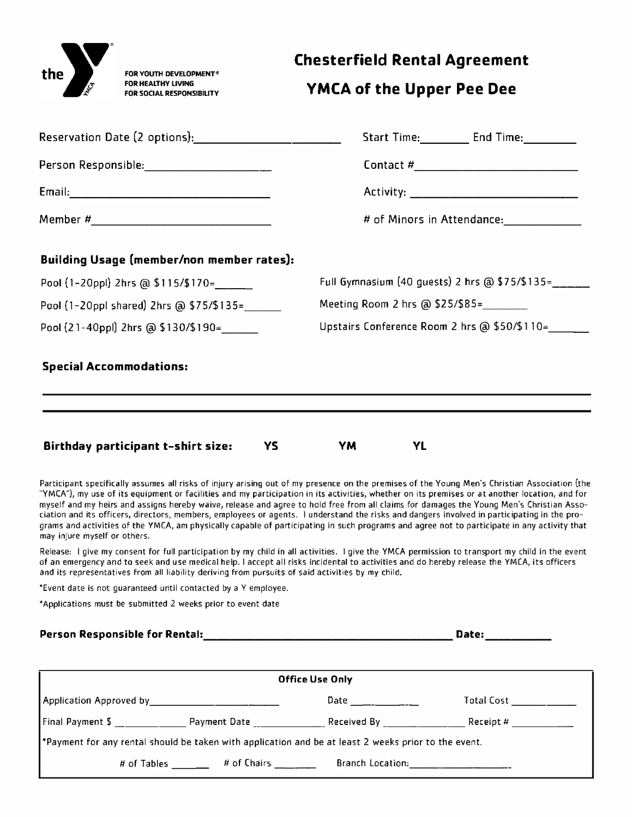

## **Chesterfield Rental Agreement**

## **YMCA of the Upper Pee Dee**

|                                                  | Start Time: End Time:                               |  |  |  |
|--------------------------------------------------|-----------------------------------------------------|--|--|--|
| Person Responsible: 2000 2000 2010               |                                                     |  |  |  |
|                                                  |                                                     |  |  |  |
|                                                  |                                                     |  |  |  |
| <b>Building Usage (member/non member rates):</b> |                                                     |  |  |  |
| Pool (1-20ppl) 2hrs @ \$115/\$170=               | Full Gymnasium (40 guests) 2 hrs @ \$75/\$135=_____ |  |  |  |
| Pool (1-20ppl shared) 2hrs @ \$75/\$135=         | Meeting Room 2 hrs @ \$25/\$85=________             |  |  |  |
| Pool (21-40ppl) 2hrs @ \$130/\$190=              | Upstairs Conference Room 2 hrs @ \$50/\$110=        |  |  |  |
| <b>Special Accommodations:</b>                   |                                                     |  |  |  |
|                                                  |                                                     |  |  |  |
|                                                  |                                                     |  |  |  |
| Birthday narticinant t-chirt cizo:<br>VC DOM:    | $\vee$ Mass $\vee$<br>VI                            |  |  |  |

**Birthday participant t-shirt size: vs YM YL** 

Participant specifically assumes all risks of injury arising out of my presence on the premises of the Young Men's Christian Association (the "YMCA"), my use of its equipment or facilities and my participation in its activities, whether on its premises or at another location, and for myself and my heirs and assigns hereby waive, release and agree to hold free from all claims for damages the Young Men's Christian Association and its officers, directors, members, employees or agents. I understand the risks and dangers involved in participating in the programs and activities of the YMCA, am physically capable of participating in such programs and agree not to participate in any activity that may injure myself or others.

Release: I give my consent for full participation by my child in all activities. I give the YMCA permission to transport my child in the event of an emergency and to seek and use medical help. I accept all risks incidental to activities and do hereby release the YMCA, its officers and its representatives from all liability deriving from pursuits of said activities by my child.

\*Event date is not guaranteed until contacted by a Y employee.

\*Applications must be submitted 2 weeks prior to event date

#### **Person Responsible for Rental: \_\_\_\_\_\_\_\_\_\_\_\_\_\_\_\_\_\_\_\_ Date: \_\_\_\_ \_**

| <b>Office Use Only</b>                                                                              |              |                                                                                                                 |                                                           |  |  |  |
|-----------------------------------------------------------------------------------------------------|--------------|-----------------------------------------------------------------------------------------------------------------|-----------------------------------------------------------|--|--|--|
|                                                                                                     |              | Date $\qquad \qquad \qquad \qquad \qquad$                                                                       | Total Cost <b>Communist Communist Communist Communist</b> |  |  |  |
| $\lceil$ Final Payment \$                                                                           | Payment Date | Received By _____________                                                                                       | $\textsf{Receipt}\;#$                                     |  |  |  |
| Payment for any rental should be taken with application and be at least 2 weeks prior to the event. |              |                                                                                                                 |                                                           |  |  |  |
| # of Tables                                                                                         | # of Chairs  | Branch Location: The Contract of the Contract of the Contract of the Contract of the Contract of the Contract o |                                                           |  |  |  |